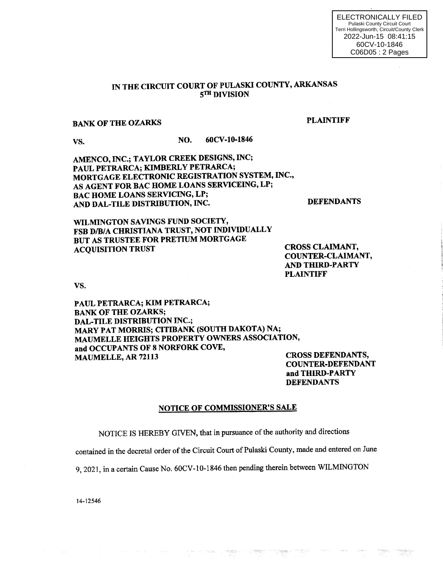# IN THE CIRCUIT COURT OF PULASKI COUNTY, ARKANSAS sTH DIVISION

# BANK OF THE OZARKS PLAINTIFF

vs. NO. 60CV-10-1846

AMENCO, INC.; TAYLOR CREEK DESIGNS, INC; PAUL PETRARCA; KIMBERLY PETRARCA; MORTGAGE ELECTRONIC REGISTRATION SYSTEM, INC., AS AGENT FOR BAC HOME LOANS SERVICEING, LP; BAC HOME LOANS SERVICING, LP; AND DAL-TILE DISTRIBUTION, INC. DEFENDANTS

WILMINGTON SAVINGS FUND SOCIETY, FSB D/B/A CHRISTIANA TRUST, NOT INDIVIDUALLY BUT AS TRUSTEE FOR PRETIUM MORTGAGE<br>ACOUISITION TRUST

CROSS CLAIMANT, COUNTER-CLAIMANT, AND TIIIRD.PARTY PLAINTIFF

vs.

PAUL PETRARCA; KIM PETRARCA; BANK OF THE OZARKS; DAL-TILE DISTRIBUTION INC.; MARY PAT MORRIS; CITIBANK (SOUTH DAKOTA) NA; MAUMELLE HEIGHTS PROPERTY OWNERS ASSOCIATION, and OCCUPANTS OF 8 NORFORK COVE, MAUMELLE, AR 72113 CROSS DEFENDANTS,

COUNTER-DEFENDANT and THIRD-PARTY DEFENDANTS

#### NOTICE OF COMMISSIONER'S SALE

NOTICE IS HEREBY GIVEN, that in pursuance of the authority and directions

contained in the decretal order of the Circuit Court of Pulaski County, made and entered on June

ngensi<br>1970-

9, 2021, in a certain Cause No. 60CV-10-1846 then pending therein between WILMINGTON

14-12546